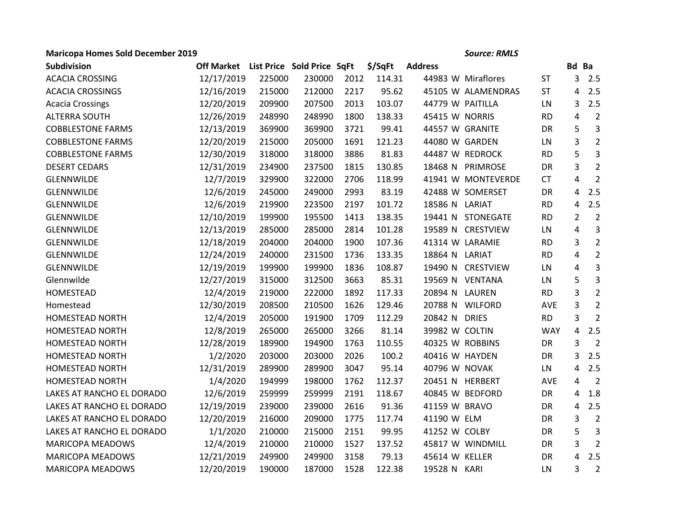## **Maricopa Homes Sold December 2019** *Source: RMLS*

| Subdivision               | Off Market List Price Sold Price SqFt |        |        |      | \$/SqFt | <b>Address</b>   |                    |            | Bd Ba          |                |
|---------------------------|---------------------------------------|--------|--------|------|---------|------------------|--------------------|------------|----------------|----------------|
| <b>ACACIA CROSSING</b>    | 12/17/2019                            | 225000 | 230000 | 2012 | 114.31  |                  | 44983 W Miraflores | <b>ST</b>  | 3              | 2.5            |
| <b>ACACIA CROSSINGS</b>   | 12/16/2019                            | 215000 | 212000 | 2217 | 95.62   |                  | 45105 W ALAMENDRAS | <b>ST</b>  | 4              | 2.5            |
| <b>Acacia Crossings</b>   | 12/20/2019                            | 209900 | 207500 | 2013 | 103.07  | 44779 W PAITILLA |                    | LN         | 3              | 2.5            |
| <b>ALTERRA SOUTH</b>      | 12/26/2019                            | 248990 | 248990 | 1800 | 138.33  | 45415 W NORRIS   |                    | <b>RD</b>  | 4              | $\overline{2}$ |
| <b>COBBLESTONE FARMS</b>  | 12/13/2019                            | 369900 | 369900 | 3721 | 99.41   | 44557 W GRANITE  |                    | DR         | 5              | $\overline{3}$ |
| <b>COBBLESTONE FARMS</b>  | 12/20/2019                            | 215000 | 205000 | 1691 | 121.23  | 44080 W GARDEN   |                    | LN         | 3              | $\overline{2}$ |
| <b>COBBLESTONE FARMS</b>  | 12/30/2019                            | 318000 | 318000 | 3886 | 81.83   | 44487 W REDROCK  |                    | <b>RD</b>  | 5              | $\mathsf{3}$   |
| <b>DESERT CEDARS</b>      | 12/31/2019                            | 234900 | 237500 | 1815 | 130.85  |                  | 18468 N PRIMROSE   | DR         | 3              | $\overline{2}$ |
| GLENNWILDE                | 12/7/2019                             | 329900 | 322000 | 2706 | 118.99  |                  | 41941 W MONTEVERDE | <b>CT</b>  | 4              | $\overline{2}$ |
| <b>GLENNWILDE</b>         | 12/6/2019                             | 245000 | 249000 | 2993 | 83.19   |                  | 42488 W SOMERSET   | <b>DR</b>  | 4              | 2.5            |
| GLENNWILDE                | 12/6/2019                             | 219900 | 223500 | 2197 | 101.72  | 18586 N LARIAT   |                    | <b>RD</b>  | 4              | 2.5            |
| GLENNWILDE                | 12/10/2019                            | 199900 | 195500 | 1413 | 138.35  |                  | 19441 N STONEGATE  | <b>RD</b>  | $\overline{2}$ | $\overline{2}$ |
| GLENNWILDE                | 12/13/2019                            | 285000 | 285000 | 2814 | 101.28  |                  | 19589 N CRESTVIEW  | LN         | 4              | 3              |
| <b>GLENNWILDE</b>         | 12/18/2019                            | 204000 | 204000 | 1900 | 107.36  | 41314 W LARAMIE  |                    | <b>RD</b>  | 3              | $\overline{2}$ |
| GLENNWILDE                | 12/24/2019                            | 240000 | 231500 | 1736 | 133.35  | 18864 N LARIAT   |                    | <b>RD</b>  | 4              | $\overline{2}$ |
| GLENNWILDE                | 12/19/2019                            | 199900 | 199900 | 1836 | 108.87  |                  | 19490 N CRESTVIEW  | LN         | 4              | $\mathsf{3}$   |
| Glennwilde                | 12/27/2019                            | 315000 | 312500 | 3663 | 85.31   | 19569 N VENTANA  |                    | LN         | 5              | 3              |
| <b>HOMESTEAD</b>          | 12/4/2019                             | 219000 | 222000 | 1892 | 117.33  | 20894 N LAUREN   |                    | <b>RD</b>  | 3              | $\overline{2}$ |
| Homestead                 | 12/30/2019                            | 208500 | 210500 | 1626 | 129.46  | 20788 N WILFORD  |                    | AVE        | 3              | $\overline{2}$ |
| HOMESTEAD NORTH           | 12/4/2019                             | 205000 | 191900 | 1709 | 112.29  | 20842 N DRIES    |                    | <b>RD</b>  | 3              | $\overline{2}$ |
| <b>HOMESTEAD NORTH</b>    | 12/8/2019                             | 265000 | 265000 | 3266 | 81.14   | 39982 W COLTIN   |                    | <b>WAY</b> | 4              | 2.5            |
| <b>HOMESTEAD NORTH</b>    | 12/28/2019                            | 189900 | 194900 | 1763 | 110.55  | 40325 W ROBBINS  |                    | <b>DR</b>  | 3              | $\overline{2}$ |
| HOMESTEAD NORTH           | 1/2/2020                              | 203000 | 203000 | 2026 | 100.2   | 40416 W HAYDEN   |                    | <b>DR</b>  | 3              | 2.5            |
| HOMESTEAD NORTH           | 12/31/2019                            | 289900 | 289900 | 3047 | 95.14   | 40796 W NOVAK    |                    | LN.        | 4              | 2.5            |
| <b>HOMESTEAD NORTH</b>    | 1/4/2020                              | 194999 | 198000 | 1762 | 112.37  | 20451 N HERBERT  |                    | <b>AVE</b> | 4              | $\overline{2}$ |
| LAKES AT RANCHO EL DORADO | 12/6/2019                             | 259999 | 259999 | 2191 | 118.67  | 40845 W BEDFORD  |                    | DR         | 4              | 1.8            |
| LAKES AT RANCHO EL DORADO | 12/19/2019                            | 239000 | 239000 | 2616 | 91.36   | 41159 W BRAVO    |                    | DR         | 4              | 2.5            |
| LAKES AT RANCHO EL DORADO | 12/20/2019                            | 216000 | 209000 | 1775 | 117.74  | 41190 W ELM      |                    | DR         | 3              | $\overline{2}$ |
| LAKES AT RANCHO EL DORADO | 1/1/2020                              | 210000 | 215000 | 2151 | 99.95   | 41252 W COLBY    |                    | <b>DR</b>  | 5              | 3              |
| <b>MARICOPA MEADOWS</b>   | 12/4/2019                             | 210000 | 210000 | 1527 | 137.52  |                  | 45817 W WINDMILL   | DR         | 3              | $\overline{2}$ |
| MARICOPA MEADOWS          | 12/21/2019                            | 249900 | 249900 | 3158 | 79.13   | 45614 W KELLER   |                    | DR         | 4              | 2.5            |
| <b>MARICOPA MEADOWS</b>   | 12/20/2019                            | 190000 | 187000 | 1528 | 122.38  | 19528 N KARI     |                    | LN         | 3              | $\overline{2}$ |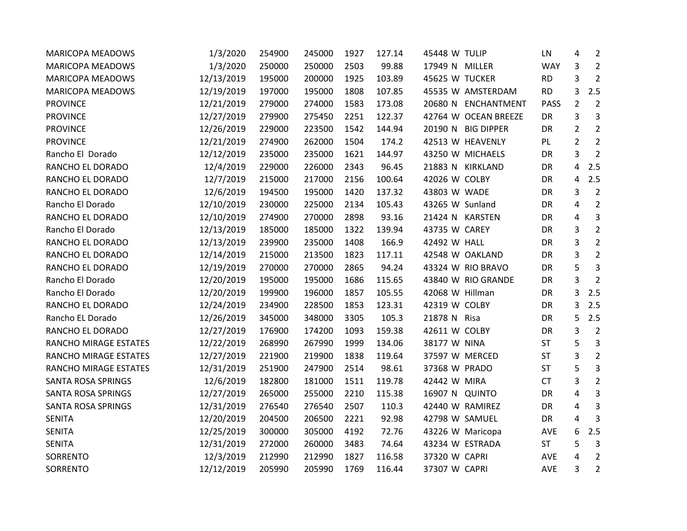| <b>MARICOPA MEADOWS</b>   | 1/3/2020   | 254900 | 245000 | 1927 | 127.14 | 45448 W TULIP        | LN          | 4              | $\overline{2}$ |
|---------------------------|------------|--------|--------|------|--------|----------------------|-------------|----------------|----------------|
| <b>MARICOPA MEADOWS</b>   | 1/3/2020   | 250000 | 250000 | 2503 | 99.88  | 17949 N MILLER       | <b>WAY</b>  | 3              | $\overline{2}$ |
| <b>MARICOPA MEADOWS</b>   | 12/13/2019 | 195000 | 200000 | 1925 | 103.89 | 45625 W TUCKER       | <b>RD</b>   | 3              | $\overline{2}$ |
| <b>MARICOPA MEADOWS</b>   | 12/19/2019 | 197000 | 195000 | 1808 | 107.85 | 45535 W AMSTERDAM    | <b>RD</b>   | 3              | 2.5            |
| <b>PROVINCE</b>           | 12/21/2019 | 279000 | 274000 | 1583 | 173.08 | 20680 N ENCHANTMENT  | <b>PASS</b> | $\overline{2}$ | $\overline{2}$ |
| <b>PROVINCE</b>           | 12/27/2019 | 279900 | 275450 | 2251 | 122.37 | 42764 W OCEAN BREEZE | DR          | 3              | 3              |
| <b>PROVINCE</b>           | 12/26/2019 | 229000 | 223500 | 1542 | 144.94 | 20190 N BIG DIPPER   | DR          | $\overline{2}$ | $\overline{2}$ |
| <b>PROVINCE</b>           | 12/21/2019 | 274900 | 262000 | 1504 | 174.2  | 42513 W HEAVENLY     | PL          | $\overline{2}$ | $\overline{2}$ |
| Rancho El Dorado          | 12/12/2019 | 235000 | 235000 | 1621 | 144.97 | 43250 W MICHAELS     | <b>DR</b>   | 3              | $\overline{2}$ |
| RANCHO EL DORADO          | 12/4/2019  | 229000 | 226000 | 2343 | 96.45  | 21883 N KIRKLAND     | DR          | 4              | 2.5            |
| RANCHO EL DORADO          | 12/7/2019  | 215000 | 217000 | 2156 | 100.64 | 42026 W COLBY        | DR          | 4              | 2.5            |
| RANCHO EL DORADO          | 12/6/2019  | 194500 | 195000 | 1420 | 137.32 | 43803 W WADE         | DR          | 3              | $\overline{2}$ |
| Rancho El Dorado          | 12/10/2019 | 230000 | 225000 | 2134 | 105.43 | 43265 W Sunland      | DR          | 4              | $\overline{2}$ |
| RANCHO EL DORADO          | 12/10/2019 | 274900 | 270000 | 2898 | 93.16  | 21424 N KARSTEN      | DR          | 4              | 3              |
| Rancho El Dorado          | 12/13/2019 | 185000 | 185000 | 1322 | 139.94 | 43735 W CAREY        | DR          | 3              | $\overline{2}$ |
| RANCHO EL DORADO          | 12/13/2019 | 239900 | 235000 | 1408 | 166.9  | 42492 W HALL         | DR          | 3              | $\overline{2}$ |
| RANCHO EL DORADO          | 12/14/2019 | 215000 | 213500 | 1823 | 117.11 | 42548 W OAKLAND      | DR          | 3              | $\overline{2}$ |
| RANCHO EL DORADO          | 12/19/2019 | 270000 | 270000 | 2865 | 94.24  | 43324 W RIO BRAVO    | DR          | 5              | 3              |
| Rancho El Dorado          | 12/20/2019 | 195000 | 195000 | 1686 | 115.65 | 43840 W RIO GRANDE   | DR          | 3              | 2              |
| Rancho El Dorado          | 12/20/2019 | 199900 | 196000 | 1857 | 105.55 | 42068 W Hillman      | DR          | 3              | 2.5            |
| RANCHO EL DORADO          | 12/24/2019 | 234900 | 228500 | 1853 | 123.31 | 42319 W COLBY        | DR          | 3              | 2.5            |
| Rancho EL Dorado          | 12/26/2019 | 345000 | 348000 | 3305 | 105.3  | 21878 N Risa         | DR          | 5              | 2.5            |
| RANCHO EL DORADO          | 12/27/2019 | 176900 | 174200 | 1093 | 159.38 | 42611 W COLBY        | DR          | 3              | $\overline{2}$ |
| RANCHO MIRAGE ESTATES     | 12/22/2019 | 268990 | 267990 | 1999 | 134.06 | 38177 W NINA         | <b>ST</b>   | 5              | 3              |
| RANCHO MIRAGE ESTATES     | 12/27/2019 | 221900 | 219900 | 1838 | 119.64 | 37597 W MERCED       | <b>ST</b>   | 3              | $\overline{2}$ |
| RANCHO MIRAGE ESTATES     | 12/31/2019 | 251900 | 247900 | 2514 | 98.61  | 37368 W PRADO        | <b>ST</b>   | 5              | 3              |
| SANTA ROSA SPRINGS        | 12/6/2019  | 182800 | 181000 | 1511 | 119.78 | 42442 W MIRA         | <b>CT</b>   | 3              | $\overline{2}$ |
| SANTA ROSA SPRINGS        | 12/27/2019 | 265000 | 255000 | 2210 | 115.38 | 16907 N QUINTO       | DR          | 4              | 3              |
| <b>SANTA ROSA SPRINGS</b> | 12/31/2019 | 276540 | 276540 | 2507 | 110.3  | 42440 W RAMIREZ      | DR          | 4              | 3              |
| <b>SENITA</b>             | 12/20/2019 | 204500 | 206500 | 2221 | 92.98  | 42798 W SAMUEL       | DR          | 4              | 3              |
| <b>SENITA</b>             | 12/25/2019 | 300000 | 305000 | 4192 | 72.76  | 43226 W Maricopa     | AVE         | 6              | 2.5            |
| <b>SENITA</b>             | 12/31/2019 | 272000 | 260000 | 3483 | 74.64  | 43234 W ESTRADA      | <b>ST</b>   | 5              | 3              |
| SORRENTO                  | 12/3/2019  | 212990 | 212990 | 1827 | 116.58 | 37320 W CAPRI        | <b>AVE</b>  | 4              | $\overline{2}$ |
| SORRENTO                  | 12/12/2019 | 205990 | 205990 | 1769 | 116.44 | 37307 W CAPRI        | AVE         | 3              | $\overline{2}$ |